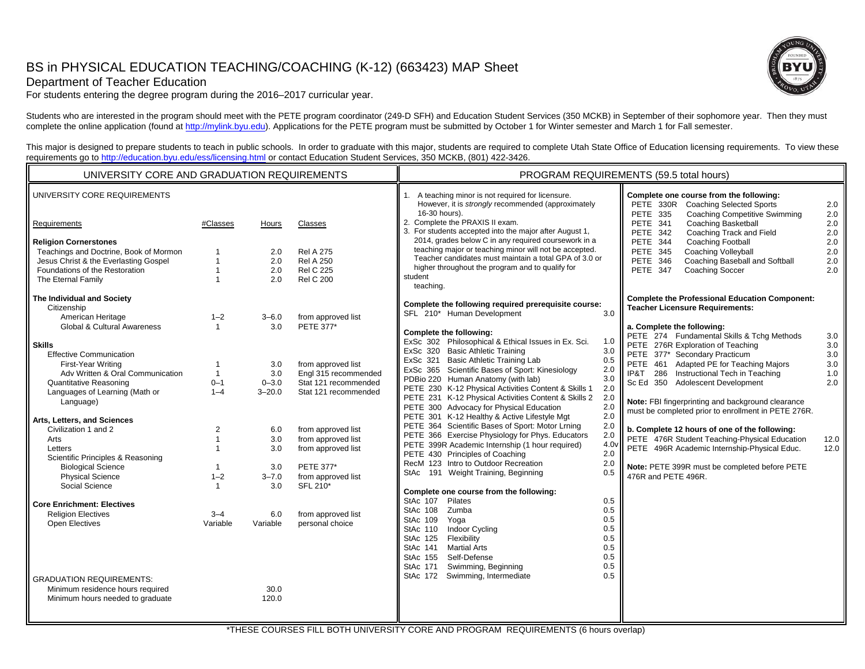# BS in PHYSICAL EDUCATION TEACHING/COACHING (K-12) (663423) MAP Sheet



Department of Teacher Education

For students entering the degree program during the 2016–2017 curricular year.

Students who are interested in the program should meet with the PETE program coordinator (249-D SFH) and Education Student Services (350 MCKB) in September of their sophomore year. Then they must complete the online application (found at http://mylink.byu.edu). Applications for the PETE program must be submitted by October 1 for Winter semester and March 1 for Fall semester.

This major is designed to prepare students to teach in public schools. In order to graduate with this major, students are required to complete Utah State Office of Education licensing requirements. To view these requirements go to http://education.byu.edu/ess/licensing.html or contact Education Student Services, 350 MCKB, (801) 422-3426.

| UNIVERSITY CORE AND GRADUATION REQUIREMENTS                                                                                                                                                                                                                                                                          |                                                                                                |                                                                   |                                                                                                                                                                                  | PROGRAM REQUIREMENTS (59.5 total hours)                                                                                                                                                                                                                                                                                                                                                                                                                                                                                                                                                                                                                                                                                     |                                                                                                                                                                                                                                                                                                                                                                                                                                                                                                                        |  |
|----------------------------------------------------------------------------------------------------------------------------------------------------------------------------------------------------------------------------------------------------------------------------------------------------------------------|------------------------------------------------------------------------------------------------|-------------------------------------------------------------------|----------------------------------------------------------------------------------------------------------------------------------------------------------------------------------|-----------------------------------------------------------------------------------------------------------------------------------------------------------------------------------------------------------------------------------------------------------------------------------------------------------------------------------------------------------------------------------------------------------------------------------------------------------------------------------------------------------------------------------------------------------------------------------------------------------------------------------------------------------------------------------------------------------------------------|------------------------------------------------------------------------------------------------------------------------------------------------------------------------------------------------------------------------------------------------------------------------------------------------------------------------------------------------------------------------------------------------------------------------------------------------------------------------------------------------------------------------|--|
| UNIVERSITY CORE REQUIREMENTS                                                                                                                                                                                                                                                                                         |                                                                                                |                                                                   |                                                                                                                                                                                  | 1. A teaching minor is not required for licensure.<br>However, it is strongly recommended (approximately                                                                                                                                                                                                                                                                                                                                                                                                                                                                                                                                                                                                                    | Complete one course from the following:<br>PETE 330R Coaching Selected Sports<br>2.0                                                                                                                                                                                                                                                                                                                                                                                                                                   |  |
| Requirements                                                                                                                                                                                                                                                                                                         | #Classes                                                                                       | Hours                                                             | Classes                                                                                                                                                                          | 16-30 hours).<br>2. Complete the PRAXIS II exam.<br>3. For students accepted into the major after August 1,                                                                                                                                                                                                                                                                                                                                                                                                                                                                                                                                                                                                                 | <b>Coaching Competitive Swimming</b><br>$2.0\,$<br><b>PETE 335</b><br><b>Coaching Basketball</b><br>2.0<br><b>PETE 341</b><br>$2.0\,$<br>PETE 342<br>Coaching Track and Field                                                                                                                                                                                                                                                                                                                                          |  |
| <b>Religion Cornerstones</b><br>Teachings and Doctrine, Book of Mormon<br>Jesus Christ & the Everlasting Gospel<br>Foundations of the Restoration<br>The Eternal Family<br>The Individual and Society<br>Citizenship<br>American Heritage<br>Global & Cultural Awareness<br><b>Skills</b>                            | 1<br>$\mathbf{1}$<br>$\mathbf{1}$<br>$1 - 2$<br>$\mathbf{1}$                                   | 2.0<br>2.0<br>2.0<br>2.0<br>$3 - 6.0$<br>3.0                      | <b>Rel A 275</b><br><b>Rel A 250</b><br><b>Rel C 225</b><br><b>Rel C 200</b><br>from approved list<br>PETE 377*                                                                  | 2014, grades below C in any required coursework in a<br>teaching major or teaching minor will not be accepted.<br>Teacher candidates must maintain a total GPA of 3.0 or<br>higher throughout the program and to qualify for<br>student<br>teaching.<br>Complete the following required prerequisite course:<br>SFL 210* Human Development<br>3.0<br>Complete the following:<br>ExSc 302 Philosophical & Ethical Issues in Ex. Sci.<br>1.0                                                                                                                                                                                                                                                                                  | Coaching Football<br>$2.0\,$<br><b>PETE 344</b><br>$2.0\,$<br><b>Coaching Volleyball</b><br><b>PETE 345</b><br><b>PETE 346</b><br>Coaching Baseball and Softball<br>2.0<br>PETE 347<br>Coaching Soccer<br>2.0<br><b>Complete the Professional Education Component:</b><br><b>Teacher Licensure Requirements:</b><br>a. Complete the following:<br>PETE 274 Fundamental Skills & Tchg Methods<br>3.0<br>PETE 276R Exploration of Teaching<br>3.0                                                                        |  |
| <b>Effective Communication</b><br>First-Year Writing<br>Adv Written & Oral Communication<br><b>Quantitative Reasoning</b><br>Languages of Learning (Math or<br>Language)<br>Arts, Letters, and Sciences<br>Civilization 1 and 2<br>Arts<br>Letters<br>Scientific Principles & Reasoning<br><b>Biological Science</b> | 1<br>$\mathbf{1}$<br>$0 - 1$<br>$1 - 4$<br>$\overline{2}$<br>$\mathbf{1}$<br>1<br>$\mathbf{1}$ | 3.0<br>3.0<br>$0 - 3.0$<br>$3 - 20.0$<br>6.0<br>3.0<br>3.0<br>3.0 | from approved list<br>Engl 315 recommended<br>Stat 121 recommended<br>Stat 121 recommended<br>from approved list<br>from approved list<br>from approved list<br><b>PETE 377*</b> | ExSc 320 Basic Athletic Training<br>3.0<br>0.5<br>ExSc 321 Basic Athletic Training Lab<br>ExSc 365 Scientific Bases of Sport: Kinesiology<br>2.0<br>PDBio 220 Human Anatomy (with lab)<br>3.0<br>PETE 230 K-12 Physical Activities Content & Skills 1<br>2.0<br>PETE 231 K-12 Physical Activities Content & Skills 2<br>2.0<br>PETE 300 Advocacy for Physical Education<br>2.0<br>PETE 301 K-12 Healthy & Active Lifestyle Mgt<br>2.0<br>PETE 364 Scientific Bases of Sport: Motor Lrning<br>2.0<br>PETE 366 Exercise Physiology for Phys. Educators<br>2.0<br>PETE 399R Academic Internship (1 hour required)<br>4.0 <sub>v</sub><br>2.0<br>PETE 430 Principles of Coaching<br>2.0<br>RecM 123 Intro to Outdoor Recreation | PETE 377* Secondary Practicum<br>3.0<br>PETE 461 Adapted PE for Teaching Majors<br>$3.0\,$<br>IP&T 286 Instructional Tech in Teaching<br>1.0<br>Sc Ed 350 Adolescent Development<br>2.0<br>Note: FBI fingerprinting and background clearance<br>must be completed prior to enrollment in PETE 276R.<br>b. Complete 12 hours of one of the following:<br>PETE 476R Student Teaching-Physical Education<br>12.0<br>PETE 496R Academic Internship-Physical Educ.<br>12.0<br>Note: PETE 399R must be completed before PETE |  |
| <b>Physical Science</b><br>Social Science<br><b>Core Enrichment: Electives</b><br><b>Religion Electives</b><br><b>Open Electives</b>                                                                                                                                                                                 | $1 - 2$<br>$\mathbf{1}$<br>$3 - 4$<br>Variable                                                 | $3 - 7.0$<br>3.0<br>6.0<br>Variable                               | from approved list<br>SFL 210*<br>from approved list<br>personal choice                                                                                                          | StAc 191 Weight Training, Beginning<br>0.5<br>Complete one course from the following:<br>0.5<br>StAc 107<br>Pilates<br>0.5<br>StAc 108<br>Zumba<br>0.5<br>StAc 109<br>Yoga<br>0.5<br>StAc 110<br><b>Indoor Cycling</b><br>Flexibility<br>0.5<br>StAc 125<br>StAc 141<br><b>Martial Arts</b><br>0.5<br>Self-Defense<br>StAc 155<br>0.5<br>0.5<br>StAc 171<br>Swimming, Beginning                                                                                                                                                                                                                                                                                                                                             | 476R and PETE 496R.                                                                                                                                                                                                                                                                                                                                                                                                                                                                                                    |  |
| <b>GRADUATION REQUIREMENTS:</b><br>Minimum residence hours required<br>Minimum hours needed to graduate                                                                                                                                                                                                              |                                                                                                | 30.0<br>120.0                                                     |                                                                                                                                                                                  | Swimming, Intermediate<br>0.5<br>StAc 172                                                                                                                                                                                                                                                                                                                                                                                                                                                                                                                                                                                                                                                                                   |                                                                                                                                                                                                                                                                                                                                                                                                                                                                                                                        |  |

\*THESE COURSES FILL BOTH UNIVERSITY CORE AND PROGRAM REQUIREMENTS (6 hours overlap)